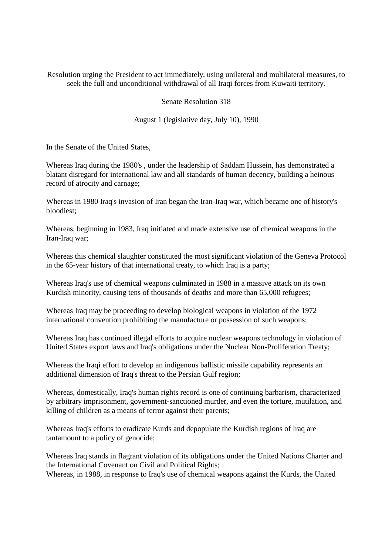Resolution urging the President to act immediately, using unilateral and multilateral measures, to seek the full and unconditional withdrawal of all Iraqi forces from Kuwaiti territory.

Senate Resolution 318

August 1 (legislative day, July 10), 1990

In the Senate of the United States,

Whereas Iraq during the 1980's , under the leadership of Saddam Hussein, has demonstrated a blatant disregard for international law and all standards of human decency, building a heinous record of atrocity and carnage;

Whereas in 1980 Iraq's invasion of Iran began the Iran-Iraq war, which became one of history's bloodiest;

Whereas, beginning in 1983, Iraq initiated and made extensive use of chemical weapons in the Iran-Iraq war;

Whereas this chemical slaughter constituted the most significant violation of the Geneva Protocol in the 65-year history of that international treaty, to which Iraq is a party;

Whereas Iraq's use of chemical weapons culminated in 1988 in a massive attack on its own Kurdish minority, causing tens of thousands of deaths and more than 65,000 refugees;

Whereas Iraq may be proceeding to develop biological weapons in violation of the 1972 international convention prohibiting the manufacture or possession of such weapons;

Whereas Iraq has continued illegal efforts to acquire nuclear weapons technology in violation of United States export laws and Iraq's obligations under the Nuclear Non-Proliferation Treaty;

Whereas the Iraqi effort to develop an indigenous ballistic missile capability represents an additional dimension of Iraq's threat to the Persian Gulf region;

Whereas, domestically, Iraq's human rights record is one of continuing barbarism, characterized by arbitrary imprisonment, government-sanctioned murder, and even the torture, mutilation, and killing of children as a means of terror against their parents;

Whereas Iraq's efforts to eradicate Kurds and depopulate the Kurdish regions of Iraq are tantamount to a policy of genocide;

Whereas Iraq stands in flagrant violation of its obligations under the United Nations Charter and the International Covenant on Civil and Political Rights;

Whereas, in 1988, in response to Iraq's use of chemical weapons against the Kurds, the United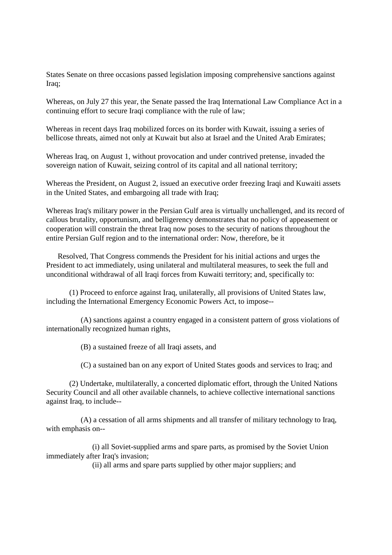States Senate on three occasions passed legislation imposing comprehensive sanctions against Iraq;

Whereas, on July 27 this year, the Senate passed the Iraq International Law Compliance Act in a continuing effort to secure Iraqi compliance with the rule of law;

Whereas in recent days Iraq mobilized forces on its border with Kuwait, issuing a series of bellicose threats, aimed not only at Kuwait but also at Israel and the United Arab Emirates;

Whereas Iraq, on August 1, without provocation and under contrived pretense, invaded the sovereign nation of Kuwait, seizing control of its capital and all national territory;

Whereas the President, on August 2, issued an executive order freezing Iraqi and Kuwaiti assets in the United States, and embargoing all trade with Iraq;

Whereas Iraq's military power in the Persian Gulf area is virtually unchallenged, and its record of callous brutality, opportunism, and belligerency demonstrates that no policy of appeasement or cooperation will constrain the threat Iraq now poses to the security of nations throughout the entire Persian Gulf region and to the international order: Now, therefore, be it

Resolved, That Congress commends the President for his initial actions and urges the President to act immediately, using unilateral and multilateral measures, to seek the full and unconditional withdrawal of all Iraqi forces from Kuwaiti territory; and, specifically to:

(1) Proceed to enforce against Iraq, unilaterally, all provisions of United States law, including the International Emergency Economic Powers Act, to impose--

(A) sanctions against a country engaged in a consistent pattern of gross violations of internationally recognized human rights,

(B) a sustained freeze of all Iraqi assets, and

(C) a sustained ban on any export of United States goods and services to Iraq; and

(2) Undertake, multilaterally, a concerted diplomatic effort, through the United Nations Security Council and all other available channels, to achieve collective international sanctions against Iraq, to include--

(A) a cessation of all arms shipments and all transfer of military technology to Iraq, with emphasis on--

(i) all Soviet-supplied arms and spare parts, as promised by the Soviet Union immediately after Iraq's invasion;

(ii) all arms and spare parts supplied by other major suppliers; and